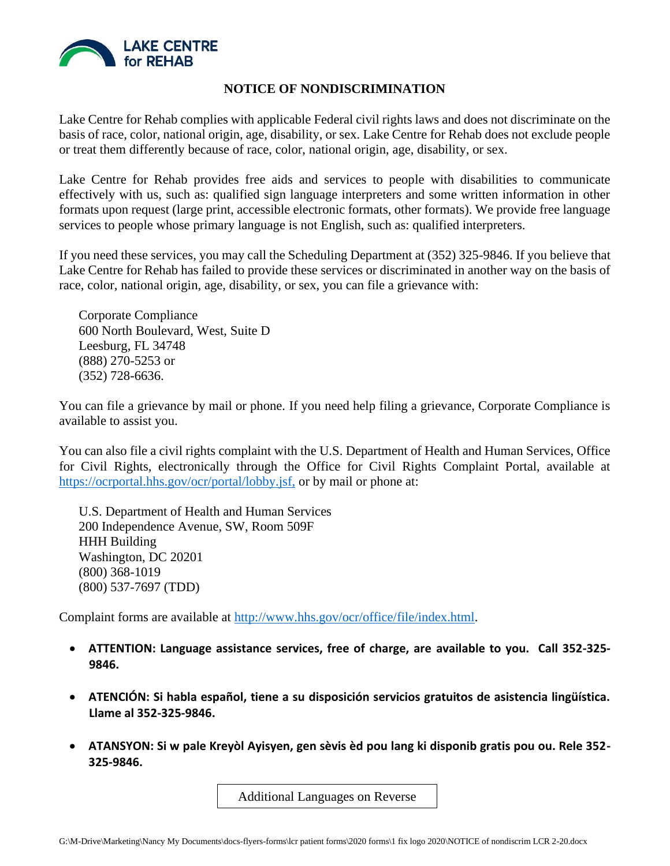

## **NOTICE OF NONDISCRIMINATION**

Lake Centre for Rehab complies with applicable Federal civil rights laws and does not discriminate on the basis of race, color, national origin, age, disability, or sex. Lake Centre for Rehab does not exclude people or treat them differently because of race, color, national origin, age, disability, or sex.

Lake Centre for Rehab provides free aids and services to people with disabilities to communicate effectively with us, such as: qualified sign language interpreters and some written information in other formats upon request (large print, accessible electronic formats, other formats). We provide free language services to people whose primary language is not English, such as: qualified interpreters.

If you need these services, you may call the Scheduling Department at (352) 325-9846. If you believe that Lake Centre for Rehab has failed to provide these services or discriminated in another way on the basis of race, color, national origin, age, disability, or sex, you can file a grievance with:

Corporate Compliance 600 North Boulevard, West, Suite D Leesburg, FL 34748 (888) 270-5253 or (352) 728-6636.

You can file a grievance by mail or phone. If you need help filing a grievance, Corporate Compliance is available to assist you.

You can also file a civil rights complaint with the U.S. Department of Health and Human Services, Office for Civil Rights, electronically through the Office for Civil Rights Complaint Portal, available at https://ocrportal.hhs.gov/ocr/portal/lobby.jsf, or by mail or phone at:

U.S. Department of Health and Human Services 200 Independence Avenue, SW, Room 509F HHH Building Washington, DC 20201 (800) 368-1019 (800) 537-7697 (TDD)

Complaint forms are available at [http://www.hhs.gov/ocr/office/file/index.html.](http://www.hhs.gov/ocr/office/file/index.html)

- **ATTENTION: Language assistance services, free of charge, are available to you. Call 352-325- 9846.**
- **ATENCIÓN: Si habla español, tiene a su disposición servicios gratuitos de asistencia lingüística. Llame al 352-325-9846.**
- **ATANSYON: Si w pale Kreyòl Ayisyen, gen sèvis èd pou lang ki disponib gratis pou ou. Rele 352- 325-9846.**

Additional Languages on Reverse